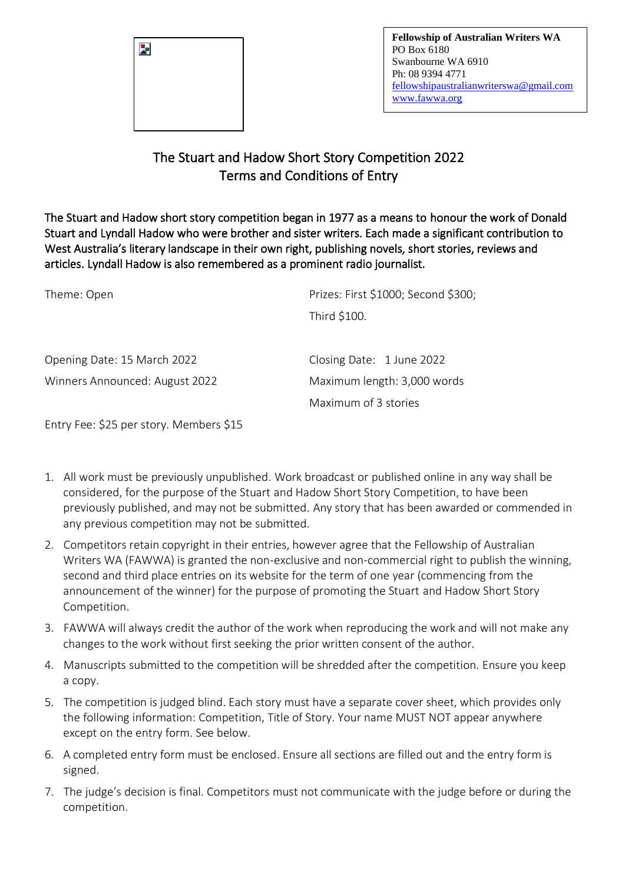

## The Stuart and Hadow Short Story Competition 2022 Terms and Conditions of Entry

The Stuart and Hadow short story competition began in 1977 as a means to honour the work of Donald Stuart and Lyndall Hadow who were brother and sister writers. Each made a significant contribution to West Australia's literary landscape in their own right, publishing novels, short stories, reviews and articles. Lyndall Hadow is also remembered as a prominent radio journalist.

| Prizes: First \$1000; Second \$300; |  |
|-------------------------------------|--|
|                                     |  |
| Closing Date: 1 June 2022           |  |
| Maximum length: 3,000 words         |  |
| Maximum of 3 stories                |  |
|                                     |  |

Entry Fee: \$25 per story. Members \$15

- 1. All work must be previously unpublished. Work broadcast or published online in any way shall be considered, for the purpose of the Stuart and Hadow Short Story Competition, to have been previously published, and may not be submitted. Any story that has been awarded or commended in any previous competition may not be submitted.
- 2. Competitors retain copyright in their entries, however agree that the Fellowship of Australian Writers WA (FAWWA) is granted the non-exclusive and non-commercial right to publish the winning, second and third place entries on its website for the term of one year (commencing from the announcement of the winner) for the purpose of promoting the Stuart and Hadow Short Story Competition.
- 3. FAWWA will always credit the author of the work when reproducing the work and will not make any changes to the work without first seeking the prior written consent of the author.
- 4. Manuscripts submitted to the competition will be shredded after the competition. Ensure you keep a copy.
- 5. The competition is judged blind. Each story must have a separate cover sheet, which provides only the following information: Competition, Title of Story. Your name MUST NOT appear anywhere except on the entry form. See below.
- 6. A completed entry form must be enclosed. Ensure all sections are filled out and the entry form is signed.
- 7. The judge's decision is final. Competitors must not communicate with the judge before or during the competition.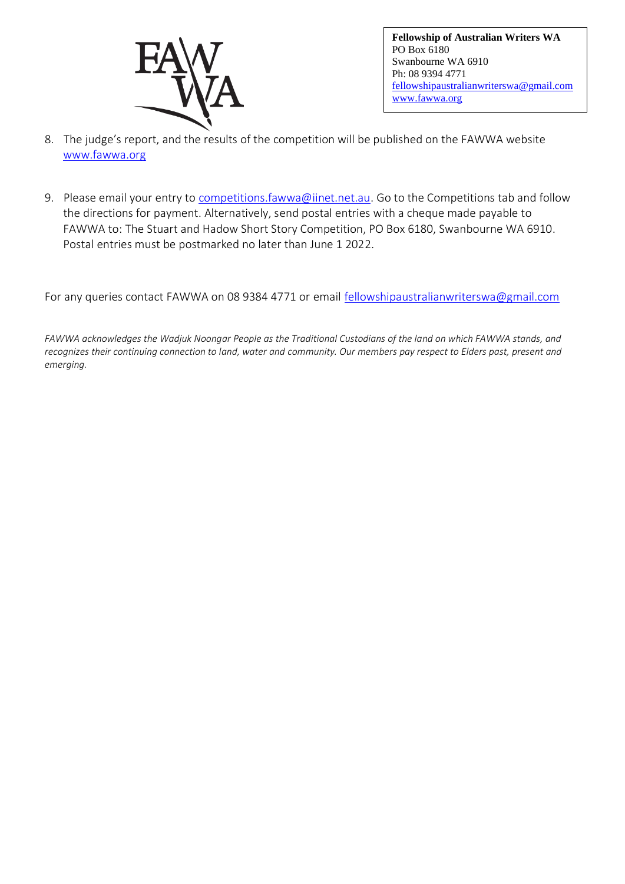

**Fellowship of Australian Writers WA** PO Box 6180 Swanbourne WA 6910 Ph: 08 9394 4771 [fellowshipaustralianwriterswa@gmail.com](mailto:fellowshipaustralianwriterswa@gmail.com) [www.fawwa.org](http://www.fawwa.org/)

- 8. The judge's report, and the results of the competition will be published on the FAWWA website [www.fawwa.org](http://www.fawwa.org/)
- 9. Please email your entry to [competitions.fawwa@iinet.net.au.](mailto:competitions.fawwa@iinet.net.au) Go to the Competitions tab and follow the directions for payment. Alternatively, send postal entries with a cheque made payable to FAWWA to: The Stuart and Hadow Short Story Competition, PO Box 6180, Swanbourne WA 6910. Postal entries must be postmarked no later than June 1 2022.

For any queries contact FAWWA on 08 9384 4771 or email [fellowshipaustralianwriterswa@gmail.com](mailto:admin@fawwa.org.au)

*FAWWA acknowledges the Wadjuk Noongar People as the Traditional Custodians of the land on which FAWWA stands, and recognizes their continuing connection to land, water and community. Our members pay respect to Elders past, present and emerging.*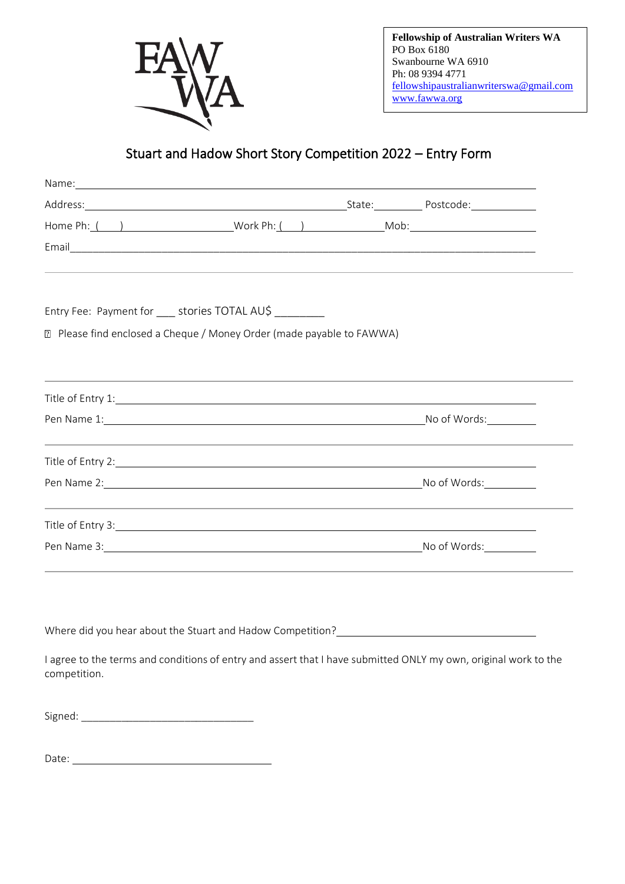

**Fellowship of Australian Writers WA** PO Box 6180 Swanbourne WA 6910 Ph: 08 9394 4771 [fellowshipaustralianwriterswa@gmail.com](mailto:fellowshipaustralianwriterswa@gmail.com) [www.fawwa.org](http://www.fawwa.org/)

## Stuart and Hadow Short Story Competition 2022 – Entry Form

| Name: Name and the second contract of the second contract of the second contract of the second contract of the second contract of the second contract of the second contract of the second contract of the second contract of  |  |                                                                                                                 |
|--------------------------------------------------------------------------------------------------------------------------------------------------------------------------------------------------------------------------------|--|-----------------------------------------------------------------------------------------------------------------|
| Address: Postcode: Protocology (2014) Address: Postcode: Postcode: Postcode: Postcode: Postcode: Postcode: Postcode: Postcode: Postcode: Postcode: Postcode: Postcode: Postcode: Postcode: Postcode: Postcode: Postcode: Postc |  |                                                                                                                 |
|                                                                                                                                                                                                                                |  |                                                                                                                 |
|                                                                                                                                                                                                                                |  |                                                                                                                 |
|                                                                                                                                                                                                                                |  |                                                                                                                 |
| Entry Fee: Payment for ____ stories TOTAL AU\$                                                                                                                                                                                 |  |                                                                                                                 |
| ■ Please find enclosed a Cheque / Money Order (made payable to FAWWA)                                                                                                                                                          |  |                                                                                                                 |
|                                                                                                                                                                                                                                |  |                                                                                                                 |
| Title of Entry 1: 1. 2010 1. 2010 1. 2010 1. 2010 1. 2010 1. 2010 1. 2010 1. 2010 1. 2010 1. 2010 1. 2010 1. 20                                                                                                                |  |                                                                                                                 |
| Pen Name 1: No of Words: No of Words: No of Words: No of Words:                                                                                                                                                                |  |                                                                                                                 |
|                                                                                                                                                                                                                                |  |                                                                                                                 |
| Pen Name 2: Note and the Manual Community of Monday Note and Monday Note and Monday Note and Monday Note and Monday Note and Monday Note and Monday Note and Monday Note and Monday Note and Monday Note and Monday Note and M |  |                                                                                                                 |
|                                                                                                                                                                                                                                |  |                                                                                                                 |
| Pen Name 3: No of Words:                                                                                                                                                                                                       |  |                                                                                                                 |
|                                                                                                                                                                                                                                |  |                                                                                                                 |
|                                                                                                                                                                                                                                |  |                                                                                                                 |
| Where did you hear about the Stuart and Hadow Competition?<br><u> </u>                                                                                                                                                         |  |                                                                                                                 |
| competition.                                                                                                                                                                                                                   |  | I agree to the terms and conditions of entry and assert that I have submitted ONLY my own, original work to the |
|                                                                                                                                                                                                                                |  |                                                                                                                 |

Date: